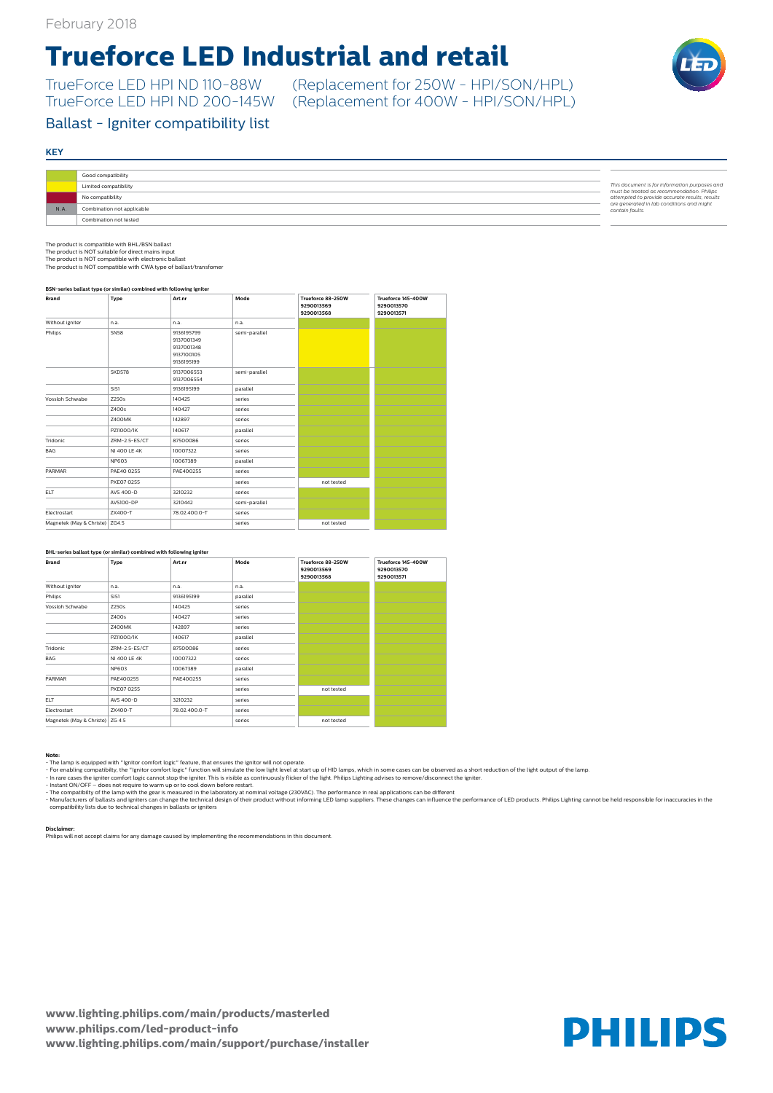**www.lighting.philips.com/main/products/masterled www.philips.com/led-product-info www.lighting.philips.com/main/support/purchase/installer**



### **KEY**

# **Trueforce LED Industrial and retail**

TrueForce LED HPI ND 110-88W (Replacement for 250W - HPI/SON/HPL)

## Ballast - Igniter compatibility list

|     | Good compatibility         |                                                                                             |
|-----|----------------------------|---------------------------------------------------------------------------------------------|
|     | Limited compatibility      | This document is for information purposes and<br>must be treated as recommendation. Philips |
|     | No compatibility           | attempted to provide accurate results, results                                              |
| N.A | Combination not applicable | are generated in lab conditions and might<br>contain faults.                                |
|     | Combination not tested     |                                                                                             |

(Replacement for 400W - HPI/SON/HPL)

#### **Note:**

- For enabling compatibilty, the "Ignitor comfort logic" function will simulate the low light level at start up of HID lamps, which in some cases can be observed as a short reduction of the light output of the lamp.

- In rare cases the igniter comfort logic cannot stop the igniter. This is visible as continuously flicker of the light. Philips Lighting advises to remove/disconnect the igniter.<br>- Instant ON/OFF – does not require to war

- 
- The compatibilty of the lamp with the gear is measured in the laboratory at nominal voltage (230VAC). The performance in real applications can be different

- Manufacturers of ballasts and igniters can change the technical design of their product without informing LED lamp suppliers. These changes can influence the performance of LED products. Philips Lighting cannot be held r

#### **Disclaimer:**

Philips will not accept claims for any damage caused by implementing the recommendations in this document.

The product is compatible with BHL/BSN ballast The product is NOT suitable for direct mains input

The product is NOT compatible with electronic ballast The product is NOT compatible with CWA type of ballast/transfomer

#### **BSN-series ballast type (or similar) combined with following igniter**

| <b>Brand</b>                     | <b>Type</b>   | Art.nr                                                             | Mode          | Trueforce 88-250W<br>9290013569<br>9290013568 | Trueforce 145-400W<br>9290013570<br>9290013571 |
|----------------------------------|---------------|--------------------------------------------------------------------|---------------|-----------------------------------------------|------------------------------------------------|
| Without igniter                  | n.a.          | n.a.                                                               | n.a.          |                                               |                                                |
| Philips                          | <b>SN58</b>   | 9136195799<br>9137001349<br>9137001348<br>9137100105<br>9136195199 | semi-parallel |                                               |                                                |
|                                  | <b>SKD578</b> | 9137006553<br>9137006554                                           | semi-parallel |                                               |                                                |
|                                  | SI51          | 9136195199                                                         | parallel      |                                               |                                                |
| Vossloh Schwabe                  | Z250s         | 140425                                                             | series        |                                               |                                                |
|                                  | Z400s         | 140427                                                             | series        |                                               |                                                |
|                                  | Z400MK        | 142897                                                             | series        |                                               |                                                |
|                                  | PZI1000/1K    | 140617                                                             | parallel      |                                               |                                                |
| Tridonic                         | ZRM-2.5-ES/CT | 87500086                                                           | series        |                                               |                                                |
| <b>BAG</b>                       | NI 400 LE 4K  | 10007322                                                           | series        |                                               |                                                |
|                                  | <b>NP603</b>  | 10067389                                                           | parallel      |                                               |                                                |
| PARMAR                           | PAE40 0255    | PAE400255                                                          | series        |                                               |                                                |
|                                  | PXE07 0255    |                                                                    | series        | not tested                                    |                                                |
| <b>ELT</b>                       | AVS 400-D     | 3210232                                                            | series        |                                               |                                                |
|                                  | AVS100-DP     | 3210442                                                            | semi-parallel |                                               |                                                |
| Electrostart                     | ZX400-T       | 78.02.400.0-T                                                      | series        |                                               |                                                |
| Magnetek (May & Christe)   ZG4.5 |               |                                                                    | series        | not tested                                    |                                                |

#### **BHL-series ballast type (or similar) combined with following igniter**

| Brand                           | <b>Type</b>   | Art.nr        | Mode     | Trueforce 88-250W<br>9290013569<br>9290013568 | Trueforce 145-400W<br>9290013570<br>9290013571 |
|---------------------------------|---------------|---------------|----------|-----------------------------------------------|------------------------------------------------|
| Without igniter                 | n.a.          | n.a.          | n.a.     |                                               |                                                |
| Philips                         | SI51          | 9136195199    | parallel |                                               |                                                |
| Vossloh Schwabe                 | Z250s         | 140425        | series   |                                               |                                                |
|                                 | Z400s         | 140427        | series   |                                               |                                                |
|                                 | Z400MK        | 142897        | series   |                                               |                                                |
|                                 | PZI1000/1K    | 140617        | parallel |                                               |                                                |
| Tridonic                        | ZRM-2.5-ES/CT | 87500086      | series   |                                               |                                                |
| BAG                             | NI 400 LE 4K  | 10007322      | series   |                                               |                                                |
|                                 | <b>NP603</b>  | 10067389      | parallel |                                               |                                                |
| PARMAR                          | PAE400255     | PAE400255     | series   |                                               |                                                |
|                                 | PXE07 0255    |               | series   | not tested                                    |                                                |
| ELT.                            | AVS 400-D     | 3210232       | series   |                                               |                                                |
| Electrostart                    | ZX400-T       | 78.02.400.0-T | series   |                                               |                                                |
| Magnetek (May & Christe) ZG 4.5 |               |               | series   | not tested                                    |                                                |

<sup>-</sup> The lamp is equipped with "Ignitor comfort logic" feature, that ensures the ignitor will not operate.